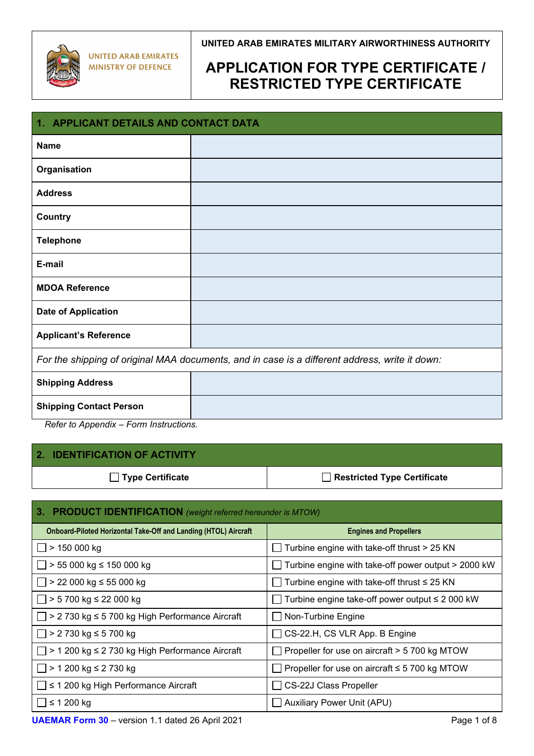

## **APPLICATION FOR TYPE CERTIFICATE / RESTRICTED TYPE CERTIFICATE**

| 1. APPLICANT DETAILS AND CONTACT DATA                                                          |  |  |
|------------------------------------------------------------------------------------------------|--|--|
| <b>Name</b>                                                                                    |  |  |
| Organisation                                                                                   |  |  |
| <b>Address</b>                                                                                 |  |  |
| <b>Country</b>                                                                                 |  |  |
| <b>Telephone</b>                                                                               |  |  |
| E-mail                                                                                         |  |  |
| <b>MDOA Reference</b>                                                                          |  |  |
| <b>Date of Application</b>                                                                     |  |  |
| <b>Applicant's Reference</b>                                                                   |  |  |
| For the shipping of original MAA documents, and in case is a different address, write it down: |  |  |
| <b>Shipping Address</b>                                                                        |  |  |
| <b>Shipping Contact Person</b><br>$D = 2$                                                      |  |  |

*Refer to Appendix – Form Instructions.*

### **2. IDENTIFICATION OF ACTIVITY**

□ Type Certificate **Restricted Type Certificate** 

| 3. PRODUCT IDENTIFICATION (weight referred hereunder is MTOW)          |                                                     |  |
|------------------------------------------------------------------------|-----------------------------------------------------|--|
| <b>Onboard-Piloted Horizontal Take-Off and Landing (HTOL) Aircraft</b> | <b>Engines and Propellers</b>                       |  |
| > 150 000 kg                                                           | Turbine engine with take-off thrust > 25 KN         |  |
| $\Box$ > 55 000 kg ≤ 150 000 kg                                        | Turbine engine with take-off power output > 2000 kW |  |
| $\Box$ > 22 000 kg ≤ 55 000 kg                                         | Turbine engine with take-off thrust $\leq 25$ KN    |  |
| $> 5700$ kg ≤ 22 000 kg                                                | Turbine engine take-off power output $\leq 2000$ kW |  |
| > 2 730 kg ≤ 5 700 kg High Performance Aircraft                        | Non-Turbine Engine                                  |  |
| > 2 730 kg ≤ 5 700 kg                                                  | CS-22.H, CS VLR App. B Engine                       |  |
| > 1 200 kg ≤ 2 730 kg High Performance Aircraft                        | Propeller for use on aircraft > 5 700 kg MTOW       |  |
| > 1 200 kg ≤ 2 730 kg                                                  | Propeller for use on aircraft $\leq$ 5 700 kg MTOW  |  |
| $\leq$ 1 200 kg High Performance Aircraft                              | <b>CS-22J Class Propeller</b>                       |  |
| $\leq$ 1 200 kg                                                        | <b>Auxiliary Power Unit (APU)</b>                   |  |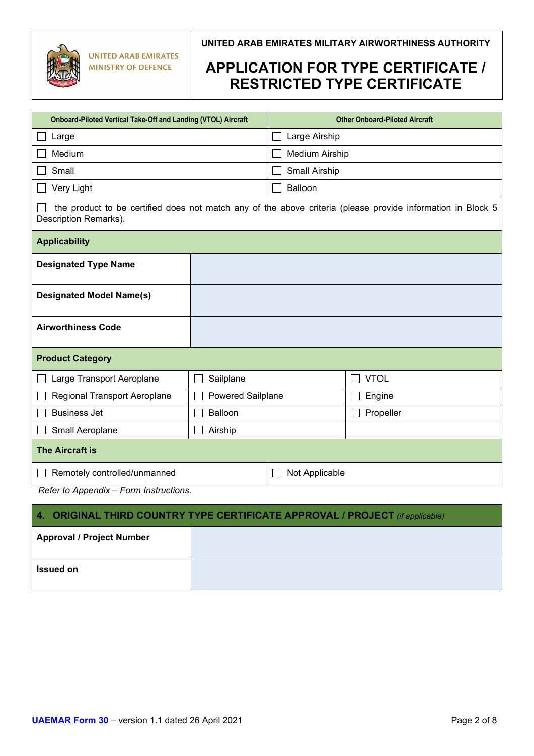

| Onboard-Piloted Vertical Take-Off and Landing (VTOL) Aircraft                                                                        |                   | <b>Other Onboard-Piloted Aircraft</b> |             |
|--------------------------------------------------------------------------------------------------------------------------------------|-------------------|---------------------------------------|-------------|
| Large                                                                                                                                |                   | Large Airship                         |             |
| Medium                                                                                                                               |                   | Medium Airship                        |             |
| Small                                                                                                                                |                   | Small Airship                         |             |
| Very Light                                                                                                                           |                   | Balloon                               |             |
| the product to be certified does not match any of the above criteria (please provide information in Block 5<br>Description Remarks). |                   |                                       |             |
| <b>Applicability</b>                                                                                                                 |                   |                                       |             |
| <b>Designated Type Name</b>                                                                                                          |                   |                                       |             |
| <b>Designated Model Name(s)</b>                                                                                                      |                   |                                       |             |
| <b>Airworthiness Code</b>                                                                                                            |                   |                                       |             |
| <b>Product Category</b>                                                                                                              |                   |                                       |             |
| Large Transport Aeroplane                                                                                                            | Sailplane         |                                       | <b>VTOL</b> |
| Regional Transport Aeroplane                                                                                                         | Powered Sailplane |                                       | Engine      |
| <b>Business Jet</b>                                                                                                                  | Balloon           |                                       | Propeller   |
| Small Aeroplane                                                                                                                      | Airship           |                                       |             |
| <b>The Aircraft is</b>                                                                                                               |                   |                                       |             |
| Remotely controlled/unmanned                                                                                                         |                   | Not Applicable                        |             |
| Refer to Appendix - Form Instructions.                                                                                               |                   |                                       |             |

| 4. ORIGINAL THIRD COUNTRY TYPE CERTIFICATE APPROVAL / PROJECT (if applicable) |  |  |
|-------------------------------------------------------------------------------|--|--|
| <b>Approval / Project Number</b>                                              |  |  |
| <b>Issued on</b>                                                              |  |  |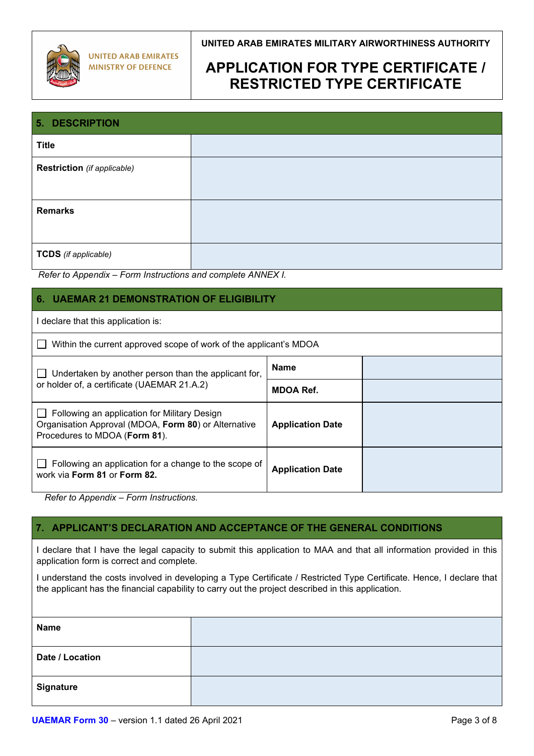

# **APPLICATION FOR TYPE CERTIFICATE / RESTRICTED TYPE CERTIFICATE**

| <b>5. DESCRIPTION</b>              |  |  |
|------------------------------------|--|--|
| <b>Title</b>                       |  |  |
| <b>Restriction</b> (if applicable) |  |  |
|                                    |  |  |
| <b>Remarks</b>                     |  |  |
|                                    |  |  |
| <b>TCDS</b> (if applicable)        |  |  |

*Refer to Appendix – Form Instructions and complete ANNEX I.*

### **6. UAEMAR 21 DEMONSTRATION OF ELIGIBILITY**

I declare that this application is:

| □ Within the current approved scope of work of the applicant's MDOA |  |  |
|---------------------------------------------------------------------|--|--|
|                                                                     |  |  |

| Undertaken by another person than the applicant for,                                                                                  | <b>Name</b>             |  |
|---------------------------------------------------------------------------------------------------------------------------------------|-------------------------|--|
| or holder of, a certificate (UAEMAR 21.A.2)                                                                                           | <b>MDOA Ref.</b>        |  |
| Following an application for Military Design<br>Organisation Approval (MDOA, Form 80) or Alternative<br>Procedures to MDOA (Form 81). | <b>Application Date</b> |  |
| Following an application for a change to the scope of<br>work via Form 81 or Form 82.                                                 | <b>Application Date</b> |  |

*Refer to Appendix – Form Instructions.*

#### **7. APPLICANT'S DECLARATION AND ACCEPTANCE OF THE GENERAL CONDITIONS**

I declare that I have the legal capacity to submit this application to MAA and that all information provided in this application form is correct and complete.

I understand the costs involved in developing a Type Certificate / Restricted Type Certificate. Hence, I declare that the applicant has the financial capability to carry out the project described in this application.

| <b>Name</b>      |  |
|------------------|--|
| Date / Location  |  |
| <b>Signature</b> |  |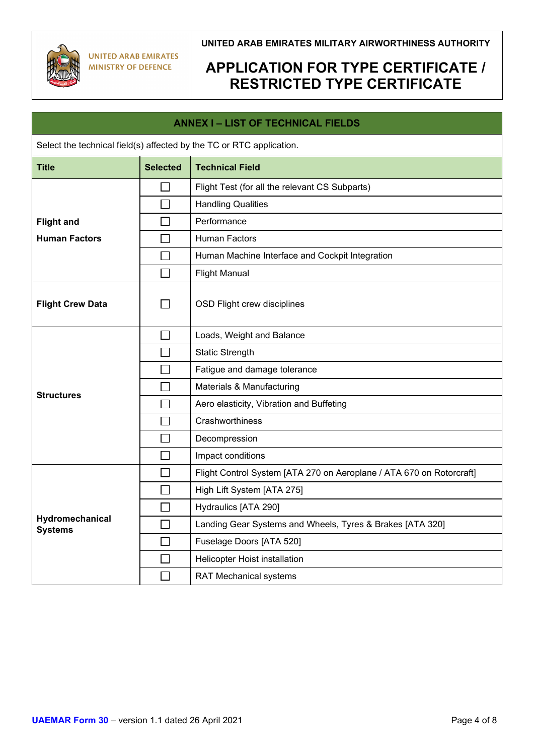

| <b>ANNEX I - LIST OF TECHNICAL FIELDS</b>                            |                             |                                                                      |  |  |
|----------------------------------------------------------------------|-----------------------------|----------------------------------------------------------------------|--|--|
| Select the technical field(s) affected by the TC or RTC application. |                             |                                                                      |  |  |
| <b>Title</b>                                                         | <b>Selected</b>             | <b>Technical Field</b>                                               |  |  |
|                                                                      |                             | Flight Test (for all the relevant CS Subparts)                       |  |  |
|                                                                      |                             | <b>Handling Qualities</b>                                            |  |  |
| <b>Flight and</b>                                                    |                             | Performance                                                          |  |  |
| <b>Human Factors</b>                                                 |                             | <b>Human Factors</b>                                                 |  |  |
|                                                                      |                             | Human Machine Interface and Cockpit Integration                      |  |  |
|                                                                      | $\sim$                      | <b>Flight Manual</b>                                                 |  |  |
| <b>Flight Crew Data</b>                                              |                             | OSD Flight crew disciplines                                          |  |  |
|                                                                      | $\sim$                      | Loads, Weight and Balance                                            |  |  |
|                                                                      |                             | <b>Static Strength</b>                                               |  |  |
|                                                                      |                             | Fatigue and damage tolerance                                         |  |  |
| <b>Structures</b>                                                    |                             | Materials & Manufacturing                                            |  |  |
|                                                                      |                             | Aero elasticity, Vibration and Buffeting                             |  |  |
|                                                                      |                             | Crashworthiness                                                      |  |  |
|                                                                      |                             | Decompression                                                        |  |  |
|                                                                      |                             | Impact conditions                                                    |  |  |
|                                                                      |                             | Flight Control System [ATA 270 on Aeroplane / ATA 670 on Rotorcraft] |  |  |
|                                                                      |                             | High Lift System [ATA 275]                                           |  |  |
| Hydromechanical<br><b>Systems</b>                                    |                             | Hydraulics [ATA 290]                                                 |  |  |
|                                                                      | $\mathcal{L}_{\mathcal{A}}$ | Landing Gear Systems and Wheels, Tyres & Brakes [ATA 320]            |  |  |
|                                                                      | $\overline{\phantom{a}}$    | Fuselage Doors [ATA 520]                                             |  |  |
|                                                                      |                             | Helicopter Hoist installation                                        |  |  |
|                                                                      |                             | <b>RAT Mechanical systems</b>                                        |  |  |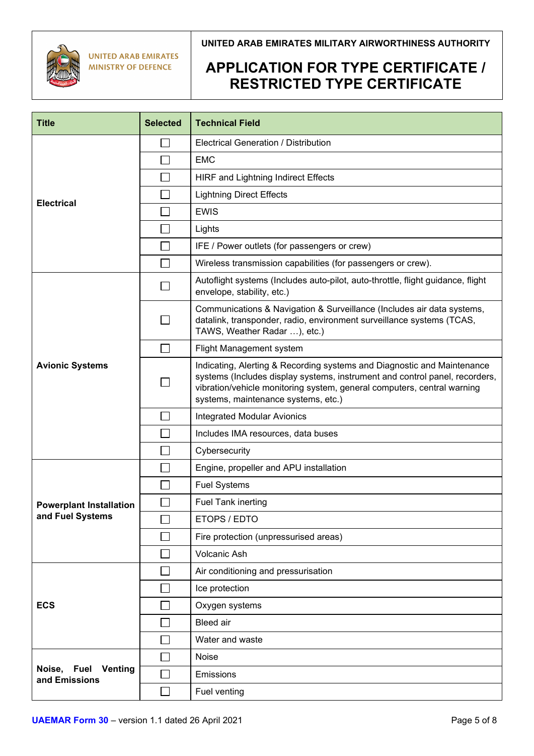

**UNITED ARAB EMIRATES MINISTRY OF DEFENCE** 

### **UNITED ARAB EMIRATES MILITARY AIRWORTHINESS AUTHORITY**

| <b>Title</b>                                   | <b>Selected</b> | <b>Technical Field</b>                                                                                                                                                                                                                                                   |  |  |
|------------------------------------------------|-----------------|--------------------------------------------------------------------------------------------------------------------------------------------------------------------------------------------------------------------------------------------------------------------------|--|--|
|                                                |                 | <b>Electrical Generation / Distribution</b>                                                                                                                                                                                                                              |  |  |
|                                                |                 | <b>EMC</b>                                                                                                                                                                                                                                                               |  |  |
|                                                |                 | <b>HIRF and Lightning Indirect Effects</b>                                                                                                                                                                                                                               |  |  |
|                                                |                 | <b>Lightning Direct Effects</b>                                                                                                                                                                                                                                          |  |  |
| <b>Electrical</b>                              |                 | <b>EWIS</b>                                                                                                                                                                                                                                                              |  |  |
|                                                |                 | Lights                                                                                                                                                                                                                                                                   |  |  |
|                                                |                 | IFE / Power outlets (for passengers or crew)                                                                                                                                                                                                                             |  |  |
|                                                |                 | Wireless transmission capabilities (for passengers or crew).                                                                                                                                                                                                             |  |  |
|                                                |                 | Autoflight systems (Includes auto-pilot, auto-throttle, flight guidance, flight<br>envelope, stability, etc.)                                                                                                                                                            |  |  |
|                                                |                 | Communications & Navigation & Surveillance (Includes air data systems,<br>datalink, transponder, radio, environment surveillance systems (TCAS,<br>TAWS, Weather Radar ), etc.)                                                                                          |  |  |
|                                                |                 | Flight Management system                                                                                                                                                                                                                                                 |  |  |
| <b>Avionic Systems</b>                         |                 | Indicating, Alerting & Recording systems and Diagnostic and Maintenance<br>systems (Includes display systems, instrument and control panel, recorders,<br>vibration/vehicle monitoring system, general computers, central warning<br>systems, maintenance systems, etc.) |  |  |
|                                                |                 | <b>Integrated Modular Avionics</b>                                                                                                                                                                                                                                       |  |  |
|                                                |                 | Includes IMA resources, data buses                                                                                                                                                                                                                                       |  |  |
|                                                |                 | Cybersecurity                                                                                                                                                                                                                                                            |  |  |
|                                                |                 | Engine, propeller and APU installation                                                                                                                                                                                                                                   |  |  |
|                                                |                 | <b>Fuel Systems</b>                                                                                                                                                                                                                                                      |  |  |
| <b>Powerplant Installation</b>                 |                 | <b>Fuel Tank inerting</b>                                                                                                                                                                                                                                                |  |  |
| and Fuel Systems                               |                 | ETOPS / EDTO                                                                                                                                                                                                                                                             |  |  |
|                                                |                 | Fire protection (unpressurised areas)                                                                                                                                                                                                                                    |  |  |
|                                                |                 | Volcanic Ash                                                                                                                                                                                                                                                             |  |  |
|                                                |                 | Air conditioning and pressurisation                                                                                                                                                                                                                                      |  |  |
| <b>ECS</b>                                     |                 | Ice protection                                                                                                                                                                                                                                                           |  |  |
|                                                |                 | Oxygen systems                                                                                                                                                                                                                                                           |  |  |
|                                                |                 | <b>Bleed</b> air                                                                                                                                                                                                                                                         |  |  |
|                                                |                 | Water and waste                                                                                                                                                                                                                                                          |  |  |
|                                                |                 | Noise                                                                                                                                                                                                                                                                    |  |  |
| Noise, Fuel<br><b>Venting</b><br>and Emissions |                 | Emissions                                                                                                                                                                                                                                                                |  |  |
|                                                |                 | Fuel venting                                                                                                                                                                                                                                                             |  |  |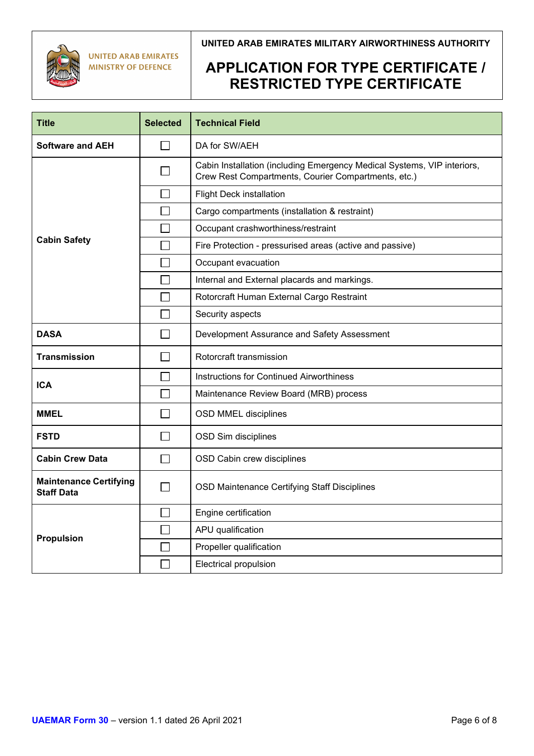

**UNITED ARAB EMIRATES MINISTRY OF DEFENCE** 

### **UNITED ARAB EMIRATES MILITARY AIRWORTHINESS AUTHORITY**

| <b>Title</b>                                       | <b>Selected</b> | <b>Technical Field</b>                                                                                                         |  |  |
|----------------------------------------------------|-----------------|--------------------------------------------------------------------------------------------------------------------------------|--|--|
| <b>Software and AEH</b>                            | $\blacksquare$  | DA for SW/AEH                                                                                                                  |  |  |
|                                                    |                 | Cabin Installation (including Emergency Medical Systems, VIP interiors,<br>Crew Rest Compartments, Courier Compartments, etc.) |  |  |
|                                                    |                 | <b>Flight Deck installation</b>                                                                                                |  |  |
|                                                    |                 | Cargo compartments (installation & restraint)                                                                                  |  |  |
|                                                    |                 | Occupant crashworthiness/restraint                                                                                             |  |  |
| <b>Cabin Safety</b>                                |                 | Fire Protection - pressurised areas (active and passive)                                                                       |  |  |
|                                                    | $\blacksquare$  | Occupant evacuation                                                                                                            |  |  |
|                                                    |                 | Internal and External placards and markings.                                                                                   |  |  |
|                                                    |                 | Rotorcraft Human External Cargo Restraint                                                                                      |  |  |
|                                                    |                 | Security aspects                                                                                                               |  |  |
| <b>DASA</b>                                        | $\blacksquare$  | Development Assurance and Safety Assessment                                                                                    |  |  |
| <b>Transmission</b>                                | $\mathbf{I}$    | Rotorcraft transmission                                                                                                        |  |  |
| <b>ICA</b>                                         |                 | <b>Instructions for Continued Airworthiness</b>                                                                                |  |  |
|                                                    | $\Box$          | Maintenance Review Board (MRB) process                                                                                         |  |  |
| MMEL                                               |                 | <b>OSD MMEL disciplines</b>                                                                                                    |  |  |
| <b>FSTD</b>                                        | $\blacksquare$  | OSD Sim disciplines                                                                                                            |  |  |
| <b>Cabin Crew Data</b>                             | $\blacksquare$  | OSD Cabin crew disciplines                                                                                                     |  |  |
| <b>Maintenance Certifying</b><br><b>Staff Data</b> | $\mathcal{L}$   | <b>OSD Maintenance Certifying Staff Disciplines</b>                                                                            |  |  |
|                                                    |                 | Engine certification                                                                                                           |  |  |
| <b>Propulsion</b>                                  |                 | APU qualification                                                                                                              |  |  |
|                                                    |                 | Propeller qualification                                                                                                        |  |  |
|                                                    |                 | <b>Electrical propulsion</b>                                                                                                   |  |  |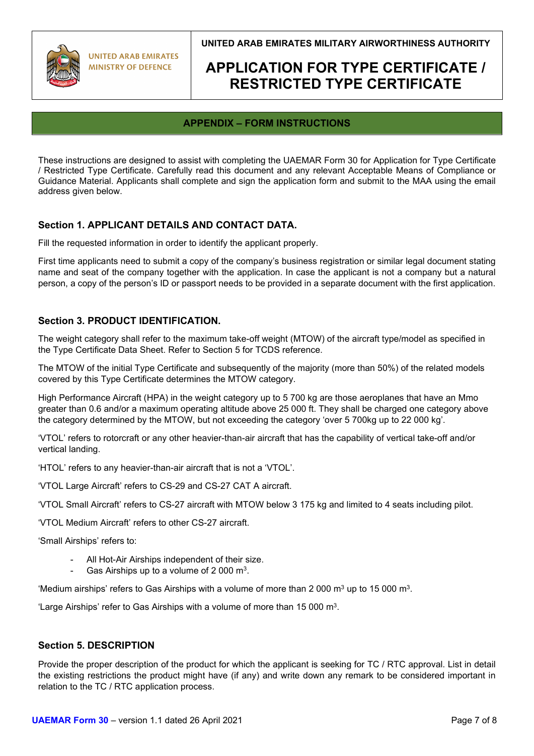

**UNITED ARAB EMIRATES MINISTRY OF DEFENCE** 

**UNITED ARAB EMIRATES MILITARY AIRWORTHINESS AUTHORITY**

## **APPLICATION FOR TYPE CERTIFICATE / RESTRICTED TYPE CERTIFICATE**

### **APPENDIX – FORM INSTRUCTIONS**

These instructions are designed to assist with completing the UAEMAR Form 30 for Application for Type Certificate / Restricted Type Certificate. Carefully read this document and any relevant Acceptable Means of Compliance or Guidance Material. Applicants shall complete and sign the application form and submit to the MAA using the email address given below.

### **Section 1. APPLICANT DETAILS AND CONTACT DATA.**

Fill the requested information in order to identify the applicant properly.

First time applicants need to submit a copy of the company's business registration or similar legal document stating name and seat of the company together with the application. In case the applicant is not a company but a natural person, a copy of the person's ID or passport needs to be provided in a separate document with the first application.

#### **Section 3. PRODUCT IDENTIFICATION.**

The weight category shall refer to the maximum take-off weight (MTOW) of the aircraft type/model as specified in the Type Certificate Data Sheet. Refer to Section 5 for TCDS reference.

The MTOW of the initial Type Certificate and subsequently of the majority (more than 50%) of the related models covered by this Type Certificate determines the MTOW category.

High Performance Aircraft (HPA) in the weight category up to 5 700 kg are those aeroplanes that have an Mmo greater than 0.6 and/or a maximum operating altitude above 25 000 ft. They shall be charged one category above the category determined by the MTOW, but not exceeding the category 'over 5 700kg up to 22 000 kg'.

'VTOL' refers to rotorcraft or any other heavier-than-air aircraft that has the capability of vertical take-off and/or vertical landing.

'HTOL' refers to any heavier-than-air aircraft that is not a 'VTOL'.

'VTOL Large Aircraft' refers to CS-29 and CS-27 CAT A aircraft.

'VTOL Small Aircraft' refers to CS-27 aircraft with MTOW below 3 175 kg and limited to 4 seats including pilot.

'VTOL Medium Aircraft' refers to other CS-27 aircraft.

'Small Airships' refers to:

- All Hot-Air Airships independent of their size.
- Gas Airships up to a volume of 2 000  $m^3$ .

'Medium airships' refers to Gas Airships with a volume of more than 2 000  $m<sup>3</sup>$  up to 15 000  $m<sup>3</sup>$ .

'Large Airships' refer to Gas Airships with a volume of more than 15 000 m3.

#### **Section 5. DESCRIPTION**

Provide the proper description of the product for which the applicant is seeking for TC / RTC approval. List in detail the existing restrictions the product might have (if any) and write down any remark to be considered important in relation to the TC / RTC application process.